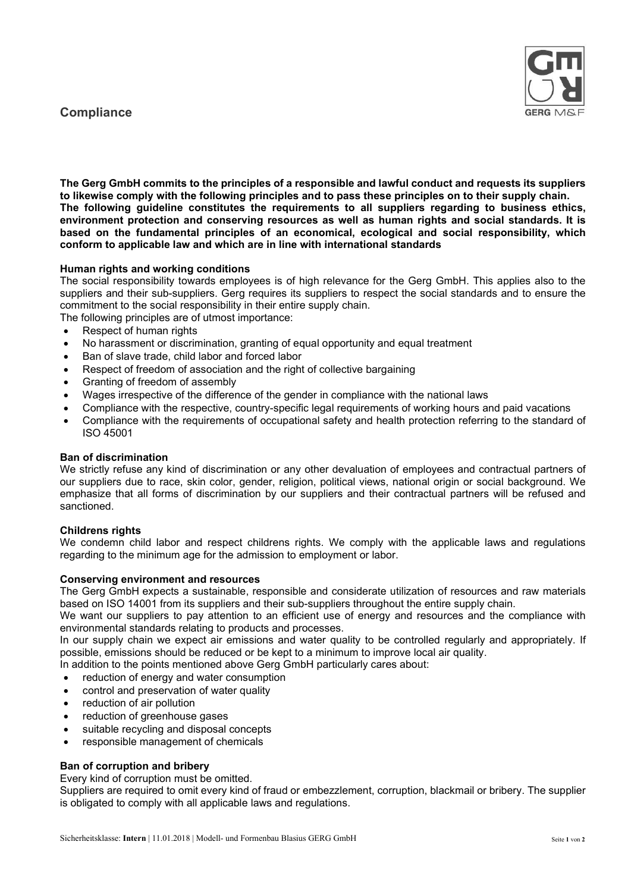# **Compliance**



The Gerg GmbH commits to the principles of a responsible and lawful conduct and requests its suppliers to likewise comply with the following principles and to pass these principles on to their supply chain. The following guideline constitutes the requirements to all suppliers regarding to business ethics, environment protection and conserving resources as well as human rights and social standards. It is based on the fundamental principles of an economical, ecological and social responsibility, which conform to applicable law and which are in line with international standards

### Human rights and working conditions

The social responsibility towards employees is of high relevance for the Gerg GmbH. This applies also to the suppliers and their sub-suppliers. Gerg requires its suppliers to respect the social standards and to ensure the commitment to the social responsibility in their entire supply chain.

The following principles are of utmost importance:

- Respect of human rights
- No harassment or discrimination, granting of equal opportunity and equal treatment
- Ban of slave trade, child labor and forced labor
- Respect of freedom of association and the right of collective bargaining
- Granting of freedom of assembly
- Wages irrespective of the difference of the gender in compliance with the national laws
- Compliance with the respective, country-specific legal requirements of working hours and paid vacations
- Compliance with the requirements of occupational safety and health protection referring to the standard of ISO 45001

### Ban of discrimination

We strictly refuse any kind of discrimination or any other devaluation of employees and contractual partners of our suppliers due to race, skin color, gender, religion, political views, national origin or social background. We emphasize that all forms of discrimination by our suppliers and their contractual partners will be refused and sanctioned.

## Childrens rights

We condemn child labor and respect childrens rights. We comply with the applicable laws and regulations regarding to the minimum age for the admission to employment or labor.

## Conserving environment and resources

The Gerg GmbH expects a sustainable, responsible and considerate utilization of resources and raw materials based on ISO 14001 from its suppliers and their sub-suppliers throughout the entire supply chain.

We want our suppliers to pay attention to an efficient use of energy and resources and the compliance with environmental standards relating to products and processes.

In our supply chain we expect air emissions and water quality to be controlled regularly and appropriately. If possible, emissions should be reduced or be kept to a minimum to improve local air quality.

In addition to the points mentioned above Gerg GmbH particularly cares about:

- reduction of energy and water consumption
- control and preservation of water quality
- reduction of air pollution
- reduction of greenhouse gases
- suitable recycling and disposal concepts
- responsible management of chemicals

## Ban of corruption and bribery

Every kind of corruption must be omitted.

Suppliers are required to omit every kind of fraud or embezzlement, corruption, blackmail or bribery. The supplier is obligated to comply with all applicable laws and regulations.